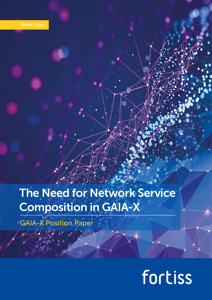## The Need for Network Service Composition in GAIA-X

GAIA-X Position Paper

# fortiss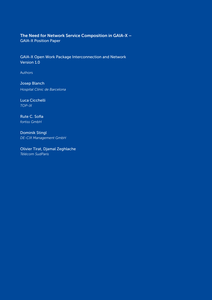#### The Need for Network Service Composition in GAIA-X – GAIA-X Position Paper

GAIA-X Open Work Package Interconnection and Network Version 1.0

Authors

Josep Blanch *Hospital Clínic de Barcelona*

Luca Cicchelli *TOP-IX*

Rute C. Sofia *fortiss GmbH*

Dominik Stingl *DE-CIX Management GmbH*

Olivier Tirat, Djamal Zeghlache *Télécom SudParis*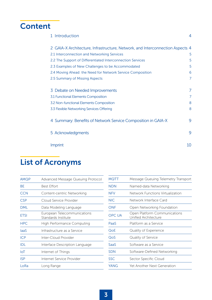### **Content**

| 1 Introduction                                                                | 4              |
|-------------------------------------------------------------------------------|----------------|
| 2 GAIA-X Architecture, Infrastructure, Network, and Interconnection Aspects 4 |                |
| 2.1 Interconnection and Networking Services                                   | 5              |
| 2.2 The Support of Differentiated Interconnection Services                    | 5              |
| 2.3 Examples of New Challenges to be Accommodated                             | 5              |
| 2.4 Moving Ahead: the Need for Network Service Composition                    | 6              |
| 2.5 Summary of Missing Aspects                                                | $\overline{7}$ |
| 3 Debate on Needed Improvements                                               | 7              |
| 3.1 Functional Elements Composition                                           | 7              |
| 3.2 Non-functional Elements Composition                                       | 8              |
| 3.3 Flexible Networking Services Offering                                     | 8              |
| 4 Summary: Benefits of Network Service Composition in GAIA-X                  | 9              |
| 5 Acknowledgments                                                             | 9              |
| Imprint                                                                       | 10             |
|                                                                               |                |

### List of Acronyms

| Advanced Message Queuing Protocol                  |
|----------------------------------------------------|
| Best Effort                                        |
| Content-centric Networking                         |
| Cloud Service Provider                             |
| Data Modeling Language                             |
| European Telecommunications<br>Standards Institute |
| <b>High Performance Computing</b>                  |
| Infrastructure as a Service                        |
| Inter-Cloud Provider                               |
| Interface Description Language                     |
| Internet of Things                                 |
| Internet Service Provider                          |
| Long Range                                         |
|                                                    |

| MQTT       | Message Queuing Telemetry Transport                  |
|------------|------------------------------------------------------|
| <b>NDN</b> | Named-data Networking                                |
| <b>NFV</b> | Network Functions Virtualization                     |
| <b>NIC</b> | Network Interface Card                               |
| ONF        | Open Networking Foundation                           |
| OPC UA     | Open Platform Communications<br>Unified Architecture |
| PaaS       | Platform as a Service                                |
| QoE        | Quality of Experience                                |
| QoS        | Quality of Service                                   |
| SaaS       | Software as a Service                                |
| <b>SDN</b> | Software-Defined Networking                          |
| <b>SSC</b> | Sector Specific Cloud                                |
| YANG       | Yet Another Next Generation                          |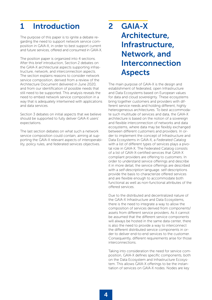### <span id="page-3-0"></span>1 Introduction

The purpose of this paper is to ignite a debate regarding the need to support network service composition in GAIA-X, in order to best support current and future services, offered and consumed in GAIA-X.

The position paper is organized into 4 sections. After this brief introduction, Section 2 debates on the GAIA-X architectural aspects supporting infrastructure, network, and interconnection aspects. The section explains reasons to consider network service composition, derived from a review of the Architecture Document delivered in June 2020, and from our identification of possible needs that still need to be supported. This analysis reveals the need to embed network service composition in a way that is adequately intertwined with applications and data services.

Section 3 debates on initial aspects that we believe should be supported to fully deliver GAIA-X users' expectations.

The last section debates on what such a network service composition could contain, aiming at supporting the GAIA-X relevant aspects of interoperability, policy rules, and federated services objectives.

### 2 GAIA-X Architecture, Infrastructure, Network, and Interconnection Aspects

The main purpose of GAIA-X is the design and establishment of federated, open Infrastructure and Data Ecosystems based on European values for data and cloud sovereignty. These ecosystems bring together customers and providers with different service needs and holding different, highly heterogeneous architectures. To best accommodate such multitude of services and data, the GAIA-X architecture is based on the notion of a sovereign and flexible interconnection of networks and data ecosystems, where data may be flexibly exchanged between different customers and providers. In order to implement the concept of Infrastructure and Data Ecosystems in GAIA-X, a *Federated Catalog* with a list of different types of services plays a pivotal role in GAIA-X. The Federated Catalog consists of a list of GAIA-X-certified services that GAIA-X compliant providers are offering to customers. In order to understand service offerings and describe it in more detail, the service offerings are described with a *self-description* language. self-descriptions provide the basis to characterize offered services and are flexible enough to accommodate both functional as well as non-functional attributes of the offered services.

Due to the distributed and decentralized nature of the GAIA-X Infrastructure and Data Ecosystems, there is the need to integrate a way to allow the composition of services derived from components/ assets from different service providers. As it cannot be assumed that the different service components will always be hosted in the same data center, there is also the need to provide a way to interconnect the different distributed service components in order to deliver end-to-end services to the customer. Consequently, different requirements arise for those interconnections.

Taking into consideration the need for service composition, GAIA-X defines specific components, both on the Data Ecosystem and Infrastructure Ecosystem. This allows GAIA-X offerings to be the instantiation of services on GAIA-X nodes. Nodes are key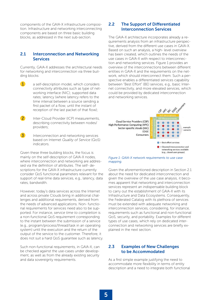<span id="page-4-0"></span>components of the GAIA-X infrastructure composition. Infrastructure and networking interconnecting components are based on three basic building blocks, as addressed in the next sub-section.

#### 2.1 Interconnection and Networking Services

Currently, GAIA-X addresses the architectural needs for networking and interconnection via three building blocks:

- a self-description model, which considers connectivity attributes such as type of networking interface (NIC); supported data rates; latency (where latency refers to the time interval between a source sending a first packet of a flow, until the instant of reception of the last packet of that flow);
- **2** Inter-Cloud Provider (ICP) measurements, describing connectivity between nodes/ providers;
- $\mathbf{z}$  Interconnection and networking services based on Internet *Quality of Service* (QoS) indicators.

Given these three building blocks, the focus is mainly on the self-description of GAIA-X nodes, where interconnection and networking are addressed via the definition of attributes. The self- descriptions for the GAIA-X infrastructure currently consider QoS functional parameters relevant for the support of real-time data services, e.g., latency, data rates, bandwidth.

However, today's data services across the Internet and across private Clouds bring in additional challenges and additional requirements, derived from the needs of advanced applications. Non- functional requirements for services need also to be supported. For instance, *service time to completion* is a non-functional QoS requirement corresponding to the instant between the submission of a service (e.g., program/process/thread/task in an operating system) until the execution and the return of the output of the service to the customer. Therefore, it does not suit a hard QoS guarantee such as latency.

Such non-functional requirements, in GAIA-X, can be checked against the use-cases under development, as well as from the already existing security and data sovereignty requirements.

#### 2.2 The Support of Differentiated Interconnection Services

The GAIA-X architecture incorporates already a requirements analysis from an infrastructure perspective, derived from the different use cases in GAIA-X. Based on such an analysis, a high- level overview has been created, which outlines the needs of the use cases in GAIA-X with respect to interconnection and networking services. Figure 1 provides an overview of the interconnections between different entities in GAIA-X and the requirements on the network, which should interconnect them. Such a perspective enables a differentiated services capability between "Best Effort" (BE) services, e.g., basic Internet connectivity, and more elevated services, which could be provided by dedicated interconnection and networking services.



#### *Figure 1: GAIA-X network requirements to use case mapping.*

Given the aforementioned description in Section 2.1 about the need for dedicated interconnection and given the overview of the use case analysis, it becomes apparent that networking and interconnection services represent an indispensable building block to carry out the establishment of GAIA-X with its Infrastructure and Data Ecosystems. Consequently, the Federated Catalog with its plethora of services must be extended with adequate networking and interconnection services, considering, for instance, requirements such as functional and non-functional QoS, security, and portability. Examples for different types of use cases, which rely on dedicated interconnection and networking services are briefly explained in the next section.

#### 2.3 Examples of New Challenges to be Accommodated

As a first simple example justifying the need to accommodate more flexibility in terms of entity description and a need to integrate both functional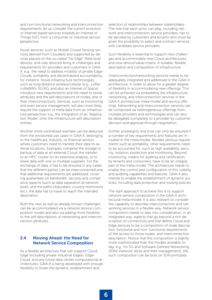<span id="page-5-0"></span>and non-functional networking and interconnection requirements, let us consider the current evolution of Internet based services towards an Internet of Things (IoT), from a consumer or industrial service perspective.

Novel services, such as *Mobile Crowd Sensing* services derived from Cloudlets and supported by devices placed on the so-called "Far Edge" (field-level devices, end-user devices) bring in challenges and requirements for providers and customers in GAIA-X, e.g., the need to address mobility of private Edge-Clouds; portability and decentralized accountability, for instance. Novel infrastructure technologies, such as long-distance wireless/cellular (e.g., LoRa/ LoRaWAN, 5G/6G, and also an Internet of Space) introduce new requirements and the need to revise attributes and the self-descriptions of nodes, and of their interconnections. Services, such as monitoring and even service management, will also most likely require the support of meta-data from an infrastructure perspective, e.g., the integration of an "Application Model" onto the infrastructure self-description entities.

Another more centralized example can be deduced from the envisioned use cases in GAIA-X, belonging to the healthcare, industry, or financial sectors, where customers need to transfer their data to external locations. Examples comprise the storage or backup of data at an external Cloud, the transfer to an HPC cluster for an extensive analysis, or to share data with one or multiple suppliers. For the exchange of data, it has to be ensured in any cases, that the different parties can be interconnected and that additional requirements are addressed, covering guarantees on bandwidth, security and compliance aspects (such as data separation at network level), and the paths (redundant, country restrictions etc.), the data has to travel to reach the intended destination.

Both the new as well as already known challenges can be accommodated via a network service composition model and also via adding more flexibility to the self-descriptions of networking and interconnection attributes.

#### 2.4 Moving Ahead: the Need for Network Service Composition

As a flexible architecture that can support Cloud, Edge (including private Industrial Edges), Edge-Cloud, and any future data center computational architectures, GAIA-X is being developed with enough flexibility to foster the dynamic establishment and

selection of relationships between stakeholders. The role that each actor can play, including network and interconnection service providers, has to be decided by customers and tenants who must be given the possibility to select and contract services with candidate service providers.

Such flexibility is essential to support new challenges and accommodate new Cloud architectures, and new service/value-chains. A suitable, flexible description and composition of infrastructure

/interconnection/networking services needs to be adequately integrated and addressed in the GAIA-X architecture, in order to allow for a greater degree of flexibility in accommodating new offerings. This can be achieved via embedding the infrastructure, networking, and interconnection services in the GAIA-X architecture meta-model and service offerings. Networking and interconnection services can be composed via heterogeneous offerings from multiple providers and technologies and can also be delegated completely to a provider by customer decision and approval through negotiation.

Further sovereignty and trust can only be ensured if a number of key requirements and features are included in the meta-model. Besides obvious requirements such as portability, other requirements need to be accounted for, such as high availability, security, isolation, protection and monitoring. Beyond monitoring, means for auditing and certification, by tenants and consumers, have to be an integral part of the meta-model. The architecture needs to enable the control and configuration of this visibility and auditing capabilities and features. GAIA-X also intends to enable the establishment of dynamic policies, including data protection and routing policies.

The right approach to achieve this is to support network service composition in the GAIA-X architectural meta-model. It is also relevant to consider the capability to describe interconnection and networking services in a flexible way. Network service composition needs to take into consideration, in an integrated way, aspects that go beyond a rich description of connectivity and that define Cloud and Edge services to be a composition of node description, functional and non- functional requirements of the access to those nodes, and interconnection description. Notice that this composition is slightly more sophisticated than the models available today, e.g., for 5G and Software-Defined Networking (SDN) (network slices and their management); still, such composition can be built on SDN principles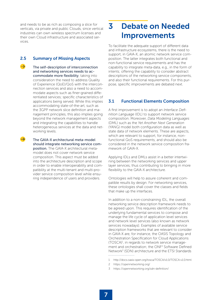<span id="page-6-0"></span>and needs to be as rich as composing a slice for verticals, via private and public Clouds, since vertical industries can own wireless spectrum licenses and their own Cloud infrastructure and associated services.

#### 2.5 Summary of Missing Aspects

 $\rightarrow$ 

The self-description of interconnection and networking services needs to accommodate more flexibility, taking into consideration the need to address Quality of Experience (QoE)/QoS with the interconnection services and also a need to accommodate aspects such as finer-grained differentiated services; specific characteristics of applications being served. While this implies accommodating state-of-the-art, such as the 3GPP network slice definition and management principles, this also implies going beyond the network management aspects and integrating the capabilities to handle heterogeneous services at the data and networking levels.

 The GAIA-X architectural meta-model should integrate networking service composition. The GAIA-X architectural metamodel does not cover network service composition. This aspect must be added into the architecture description and scope in order to enable interoperability and compatibility at the multi-tenant and multi-provider service composition level while ensuring independence of users and providers.

### 3 Debate on Needed Improvements

To facilitate the adequate support of different data and infrastructure ecosystems, there is the need to support, in GAIA-X, an atomic network service composition. The latter integrates both functional and non-functional service requirements and has the capability to integrate meta-data, e.g., in the form of intents; offering the capability to consider abstract descriptions of the networking service components, and also their functional requirements. For this purpose, specific improvements are debated next.

#### 3.1 Functional Elements Composition

A first improvement is to adopt an *Interface Definition Language* (IDL) to support network service composition. Moreover, *Data Modeling Languages*  (DML) such as the *Yet Another Next Generation* (YANG) model both configuration data as well as state data of network elements. These are aspects, which are relevant to support, for instance, nonfunctional QoS requirements, and should also be considered in the network service composition framework of GAIA-X.

Applying IDLs and DMLs assist in a better intertwining between the networking services and upper layer services, thus contributing to bringing in more flexibility to the GAIA-X architecture.

Ontologies will help to assure coherent and compatible results by design. For networking services, these ontologies shall cover the classes and fields that make up the interfaces.

In addition to a non-constraining IDL, the overall networking service description framework needs to be agreed upon. This requires identification of the underlying fundamental services to compose and manage the life cycle of application level services and network level services (also known as network services nowadays). Examples of available service description frameworks that are relevant to consider in GAIA-X are, for instance, the OASIS Topology and Orchestration Specification for Cloud Applications (TOSCA)1 , in regards to network service management and orchestration; the ONF<sup>2</sup> Software Defined Network<sup>3</sup> (SDN) architecture and the ETSI Standards 

- 1 http://docs.oasis-open.org/tosca/TOSCA/v1.0/TOSCA-v1.0.html
- 2 https://opennetworking.org/
- 3 https://opennetworking.org/sdn-definition/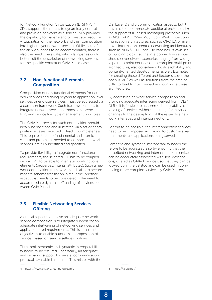<span id="page-7-0"></span>for Network Function Virtualization (ETSI NFV)<sup>4</sup>. SDN supports the means to dynamically control and provision networks as a service; NFV provides the capability to manage and orchestrate resource virtualization on the network and their composition into higher-layer network services. While state of the art work needs to be accommodated, there is also the need to evaluate, which languages could better suit the description of networking services, for the specific context of GAIA-X use-cases.

#### 3.2 Non-functional Elements Composition

Composition of non-functional elements for network services and going beyond to application level services or end user services, must be addressed via a common framework. Such framework needs to integrate network service composition, orchestration, and service life cycle management principles.

The GAIA-X process for such composition should ideally be specified and illustrated via a set of appropriate use cases, selected to lead to completeness. This requires that the fundamental and atomic services and processes, needed to compose network services, are fully identified and specified.

To provide flexibility to integrate non-functional requirements, the selected IDL has to be coupled with a DML to be able to integrate non-functional elements (properties, intents, attributes). Such a network composition framework needs also to accommodate schema translation in real-time. Another aspect that needs to be considered is the need to accommodate dynamic offloading of services between GAIA-X nodes.

#### 3.3 Flexible Networking Services **Offering**

A crucial aspect to achieve an adequate network service composition is to integrate support for an adequate intertwining of networking services and application level requirements. This is a must if the objective is to enable autonomic composition of services based on service self-descriptions.

Thus, both semantic and syntactic interoperability needs to be ensured. Specifically, an adequate and semantic support for several communication protocols available is required. This relates with the 

4 https://www.etsi.org/technologies/nfv

OSI Layer 2 and 3 communication aspects, but it has also to accommodate additional protocols, like the support of IP-based messaging protocols such as MQTT/AMQP/ZeroMQ; Publish/Subscribe communication architectures, such as OPC UA or even novel information- centric networking architectures, such as NDN/CCN. Each use case has its own set of building blocks, so the interconnection services should cover diverse scenarios ranging from a single point to point connection to complex multi-point architectures, also considering host-reachability and content-oriented developments as well. Examples for creating those different architectures cover the open IX-API<sup>5</sup> as well as solutions from the area of SDN, to flexibly interconnect and configure these architectures.

By addressing network service composition and providing adequate interfacing derived from IDLs/ DMLs, it is feasible to accommodate reliability, offloading of services without requiring, for instance, changes to the descriptions of the respective network interfaces and interconnections.

For this to be possible, the interconnection services need to be composed according to customers' requirements and applications being served.

Semantic and syntactic interoperability needs therefore to be addressed also by ensuring that the described networking and interconnection services can be adequately associated with self- descriptions, offered as GAIA-X services, so that they can be looked up in the catalog and can be used in composing more complex services by GAIA-X users.

5 https://ix-api.net/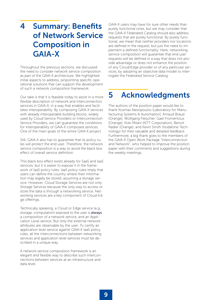### <span id="page-8-0"></span>4 Summary: Benefits of Network Service Composition in GAIA-X

Throughout the previous sections, we discussed the need to consider network service composition as part of the GAIA-X architecture. We highlighted initial aspects to address, pinpointing specific operational solutions that can support the development of such a network composition framework.

Our take is that it is feasible today to assist in a more flexible description of network and interconnection services in GAIA-X, in a way that enables and facilitates interoperability. By composing GAIA-X services with already interoperable building blocks, widely used by Cloud Service Providers or Interconnection Service Providers, we can guarantee the conditions for interoperability of GAIA-X composed services. One of the main goals of the entire GAIA-X project.

Still, GAIA-X also has to guarantee that its policy rules will protect the end user. Therefore, the network service composition is a way to avoid the black box effect of overall service definition.

This black box effect exists already for SaaS and IaaS services, but it is easier to expose it in the framework of IaaS policy rules. IaaS policy rules imply that users can define the country where their information may legally be stored, assuming a storage service. However, Cloud Storage Services are not only Storage Services because the only way to access or store the data is through a networking service. Networking services are a key component of Cloud-Edge offerings.

Technically speaking, a Cloud or Edge service (e.g., storage, computation) exposed to the user is **always** a composition of a network service, and an Application Level service. But only the external network attributes are observable by the user. To certify an application level service against GAIA-X IaaS policy rules, all the interconnections between networking services and application level services must be described in a unique way.

A network service composition framework is an elegant and flexible way to describe such interconnections between services at an infrastructure and data level.

GAIA-X users may have for sure other needs than purely functional ones, but we may consider that the GAIA-X Federated Catalog should also address requests that are purely functional. By purely functional, we mean that neither providers nor locations are defined in the request, but just the need to implement a defined functionality. Here, networking service composition will guarantee that end user requests will be defined in a way that does not provide advantage or does not enhance the position of any Cloud/Edge provider or of any particular services, by adopting an objective data model to interrogate the Federated Service Catalog.

### 5 Acknowledgments

The authors of the position paper would like to thank Kosmas Alexopoulos (Laboratory for Manufacturing Systems & Automation), Arnaud Braud (Orange), Wolfgang Fleischer, Gael Fromentoux (Orange), Koki Mitani (NTT Corporation), Benoit Radier (Orange), and Kevin Smith (Vodafone Technology) for their valuable and detailed feedback. Furthermore, a big thank goes to the members of the GAIA-X Open Work Package "Interconnection and Network", who helped to improve the position paper with their comments and suggestions during the weekly meetings.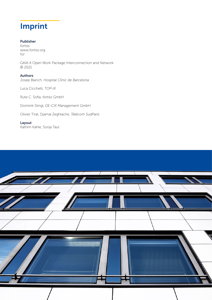### <span id="page-9-0"></span>Imprint

#### Publisher

fortiss www.fortiss.org for

GAIA-X Open Work Package Interconnection and Network © 2021

#### Authors

Josep Blanch, *Hospital Clínic de Barcelona*

Luca Cicchelli, *TOP-IX*

Rute C. Sofia, *fortiss GmbH*

Dominik Stingl, *DE-CIX Management GmbH*

Olivier Tirat, Djamal Zeghlache, *Télécom SudParis*

Layout Kathrin Kahle, Sonja Taut

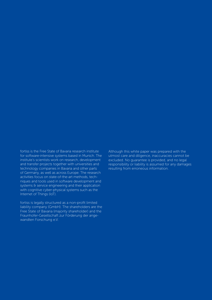fortiss is the Free State of Bavaria research institute for software-intensive systems based in Munich. The institute's scientists work on research, development and transfer projects together with universities and technology companies in Bavaria and other parts of Germany, as well as across Europe. The research activities focus on state-of-the-art methods, techniques and tools used in software development and systems & service engineering and their application with cognitive cyber-physical systems such as the Internet of Things (IoT).

fortiss is legally structured as a non-profit limited liability company (GmbH). The shareholders are the Free State of Bavaria (majority shareholder) and the Fraunhofer-Gesellschaft zur Förderung der angewandten Forschung e.V.

Although this white paper was prepared with the utmost care and diligence, inaccuracies cannot be excluded. No guarantee is provided, and no legal responsibility or liability is assumed for any damages resulting from erroneous information.